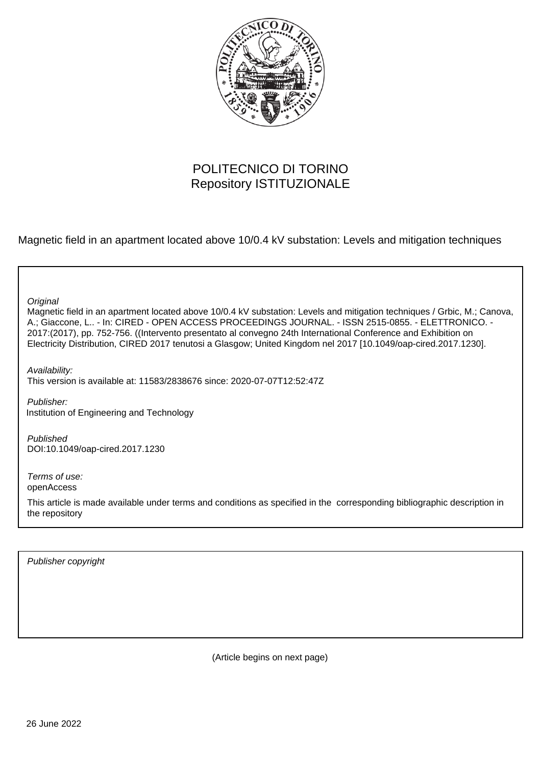

# POLITECNICO DI TORINO Repository ISTITUZIONALE

Magnetic field in an apartment located above 10/0.4 kV substation: Levels and mitigation techniques

**Original** 

Magnetic field in an apartment located above 10/0.4 kV substation: Levels and mitigation techniques / Grbic, M.; Canova, A.; Giaccone, L.. - In: CIRED - OPEN ACCESS PROCEEDINGS JOURNAL. - ISSN 2515-0855. - ELETTRONICO. - 2017:(2017), pp. 752-756. ((Intervento presentato al convegno 24th International Conference and Exhibition on Electricity Distribution, CIRED 2017 tenutosi a Glasgow; United Kingdom nel 2017 [10.1049/oap-cired.2017.1230].

Availability: This version is available at: 11583/2838676 since: 2020-07-07T12:52:47Z

Publisher: Institution of Engineering and Technology

Published DOI:10.1049/oap-cired.2017.1230

Terms of use: openAccess

This article is made available under terms and conditions as specified in the corresponding bibliographic description in the repository

Publisher copyright

(Article begins on next page)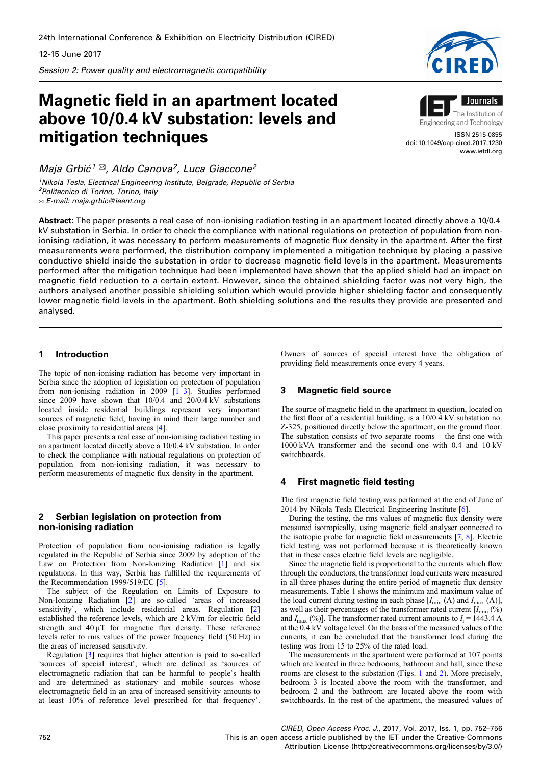Session 2: Power quality and electromagnetic compatibility

# Magnetic field in an apartment located above 10/0.4 kV substation: levels and mitigation techniques

Maja Grbić<sup>1 $\boxtimes$ </sup>, Aldo Canova<sup>2</sup>, Luca Giaccone<sup>2</sup>

<sup>1</sup>Nikola Tesla, Electrical Engineering Institute, Belgrade, Republic of Serbia <sup>2</sup>Politecnico di Torino, Torino, Italy ✉ E-mail: maja.grbic@ieent.org

Abstract: The paper presents a real case of non-ionising radiation testing in an apartment located directly above a 10/0.4 kV substation in Serbia. In order to check the compliance with national regulations on protection of population from nonionising radiation, it was necessary to perform measurements of magnetic flux density in the apartment. After the first measurements were performed, the distribution company implemented a mitigation technique by placing a passive conductive shield inside the substation in order to decrease magnetic field levels in the apartment. Measurements performed after the mitigation technique had been implemented have shown that the applied shield had an impact on magnetic field reduction to a certain extent. However, since the obtained shielding factor was not very high, the authors analysed another possible shielding solution which would provide higher shielding factor and consequently lower magnetic field levels in the apartment. Both shielding solutions and the results they provide are presented and analysed.

# 1 Introduction

The topic of non-ionising radiation has become very important in Serbia since the adoption of legislation on protection of population from non-ionising radiation in 2009 [1–3]. Studies performed since 2009 have shown that 10/0.4 and 20/0.4 kV substations located inside residential buildings represent very important sources of magnetic field, having in mind their large number and close proximity to residential areas [4].

This paper presents a real case of non-ionising radiation testing in an apartment located directly above a 10/0.4 kV substation. In order to check the compliance with national regulations on protection of population from non-ionising radiation, it was necessary to perform measurements of magnetic flux density in the apartment.

#### 2 Serbian legislation on protection from non-ionising radiation

Protection of population from non-ionising radiation is legally regulated in the Republic of Serbia since 2009 by adoption of the Law on Protection from Non-Ionizing Radiation [1] and six regulations. In this way, Serbia has fulfilled the requirements of the Recommendation 1999/519/EC [5].

The subject of the Regulation on Limits of Exposure to Non-Ionizing Radiation [2] are so-called 'areas of increased sensitivity', which include residential areas. Regulation [2] established the reference levels, which are 2 kV/m for electric field strength and  $40 \mu$ T for magnetic flux density. These reference levels refer to rms values of the power frequency field (50 Hz) in the areas of increased sensitivity.

Regulation [3] requires that higher attention is paid to so-called 'sources of special interest', which are defined as 'sources of electromagnetic radiation that can be harmful to people's health and are determined as stationary and mobile sources whose electromagnetic field in an area of increased sensitivity amounts to at least 10% of reference level prescribed for that frequency'.

Owners of sources of special interest have the obligation of providing field measurements once every 4 years.

# 3 Magnetic field source

The source of magnetic field in the apartment in question, located on the first floor of a residential building, is a 10/0.4 kV substation no. Z-325, positioned directly below the apartment, on the ground floor. The substation consists of two separate rooms – the first one with 1000 kVA transformer and the second one with 0.4 and 10 kV switchboards.

#### 4 First magnetic field testing

The first magnetic field testing was performed at the end of June of 2014 by Nikola Tesla Electrical Engineering Institute [6].

During the testing, the rms values of magnetic flux density were measured isotropically, using magnetic field analyser connected to the isotropic probe for magnetic field measurements [7, 8]. Electric field testing was not performed because it is theoretically known that in these cases electric field levels are negligible.

Since the magnetic field is proportional to the currents which flow through the conductors, the transformer load currents were measured in all three phases during the entire period of magnetic flux density measurements. Table 1 shows the minimum and maximum value of the load current during testing in each phase  $[I_{min}(A)$  and  $I_{max}(A)]$ , as well as their percentages of the transformer rated current  $[I_{\min} (%)$ and  $I_{\text{max}}$  (%)]. The transformer rated current amounts to  $I_{\text{r}} = 1443.4 \text{ A}$ at the 0.4 kV voltage level. On the basis of the measured values of the currents, it can be concluded that the transformer load during the testing was from 15 to 25% of the rated load.

The measurements in the apartment were performed at 107 points which are located in three bedrooms, bathroom and hall, since these rooms are closest to the substation (Figs. 1 and 2). More precisely, bedroom 3 is located above the room with the transformer, and bedroom 2 and the bathroom are located above the room with switchboards. In the rest of the apartment, the measured values of





Engineering and Technology

ISSN 2515-0855 doi: 10.1049/oap-cired.2017.1230 www.ietdl.org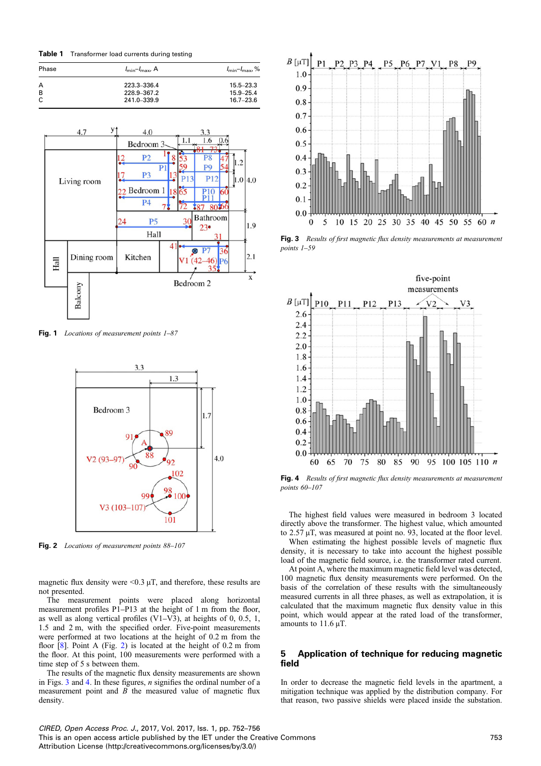Table 1 Transformer load currents during testing

| Phase | $I_{\min} - I_{\max}$ , A | $I_{\min} - I_{\max}$ , % |
|-------|---------------------------|---------------------------|
| A     | 223.3-336.4               | $15.5 - 23.3$             |
| B     | 228.9-367.2               | $15.9 - 25.4$             |
| C     | 241.0-339.9               | $16.7 - 23.6$             |



Fig. 1 Locations of measurement points  $1-87$ 



Fig. 2 Locations of measurement points 88-107

magnetic flux density were  $\leq 0.3 \mu$ T, and therefore, these results are not presented.

The measurement points were placed along horizontal measurement profiles P1–P13 at the height of 1 m from the floor, as well as along vertical profiles (V1–V3), at heights of 0, 0.5, 1, 1.5 and 2 m, with the specified order. Five-point measurements were performed at two locations at the height of 0.2 m from the floor [8]. Point A (Fig. 2) is located at the height of 0.2 m from the floor. At this point, 100 measurements were performed with a time step of 5 s between them.

The results of the magnetic flux density measurements are shown in Figs. 3 and 4. In these figures, n signifies the ordinal number of a measurement point and  $\hat{B}$  the measured value of magnetic flux density.



Fig. 3 Results of first magnetic flux density measurements at measurement points 1–59



Fig. 4 Results of first magnetic flux density measurements at measurement points 60–107

The highest field values were measured in bedroom 3 located directly above the transformer. The highest value, which amounted to 2.57 µT, was measured at point no. 93, located at the floor level. When estimating the highest possible levels of magnetic flux

density, it is necessary to take into account the highest possible load of the magnetic field source, i.e. the transformer rated current. At point A, where the maximum magnetic field level was detected,

100 magnetic flux density measurements were performed. On the basis of the correlation of these results with the simultaneously measured currents in all three phases, as well as extrapolation, it is calculated that the maximum magnetic flux density value in this point, which would appear at the rated load of the transformer, amounts to  $11.6 \mu$ T.

### 5 Application of technique for reducing magnetic field

In order to decrease the magnetic field levels in the apartment, a mitigation technique was applied by the distribution company. For that reason, two passive shields were placed inside the substation.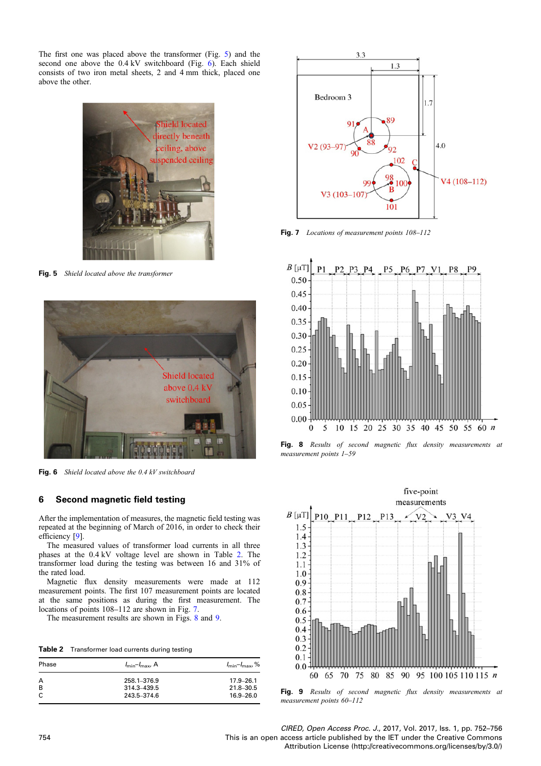The first one was placed above the transformer (Fig. 5) and the second one above the 0.4 kV switchboard (Fig. 6). Each shield consists of two iron metal sheets, 2 and 4 mm thick, placed one above the other.



Fig. 5 Shield located above the transformer



Fig. 6 Shield located above the 0.4 kV switchboard

#### 6 Second magnetic field testing

After the implementation of measures, the magnetic field testing was repeated at the beginning of March of 2016, in order to check their efficiency [9].

The measured values of transformer load currents in all three phases at the 0.4 kV voltage level are shown in Table 2. The transformer load during the testing was between 16 and 31% of the rated load.

Magnetic flux density measurements were made at 112 measurement points. The first 107 measurement points are located at the same positions as during the first measurement. The locations of points  $108-112$  are shown in Fig. 7.

The measurement results are shown in Figs. 8 and 9.

|  | Table 2 Transformer load currents during testing |  |  |  |
|--|--------------------------------------------------|--|--|--|
|--|--------------------------------------------------|--|--|--|

| Phase | $I_{\min} - I_{\max}$ , A | $I_{\text{min}} - I_{\text{max}}$ , % |
|-------|---------------------------|---------------------------------------|
| A     | 258.1-376.9               | $17.9 - 26.1$                         |
| B     | 314.3-439.5               | $21.8 - 30.5$                         |
| C     | 243.5-374.6               | $16.9 - 26.0$                         |



Fig. 7 Locations of measurement points  $108-112$ 



Fig. 8 Results of second magnetic flux density measurements at measurement points 1–59



Fig. 9 Results of second magnetic flux density measurements at measurement points 60–112

CIRED, Open Access Proc. J., 2017, Vol. 2017, Iss. 1, pp. 752–756 754 This is an open access article published by the IET under the Creative Commons Attribution License (http://creativecommons.org/licenses/by/3.0/)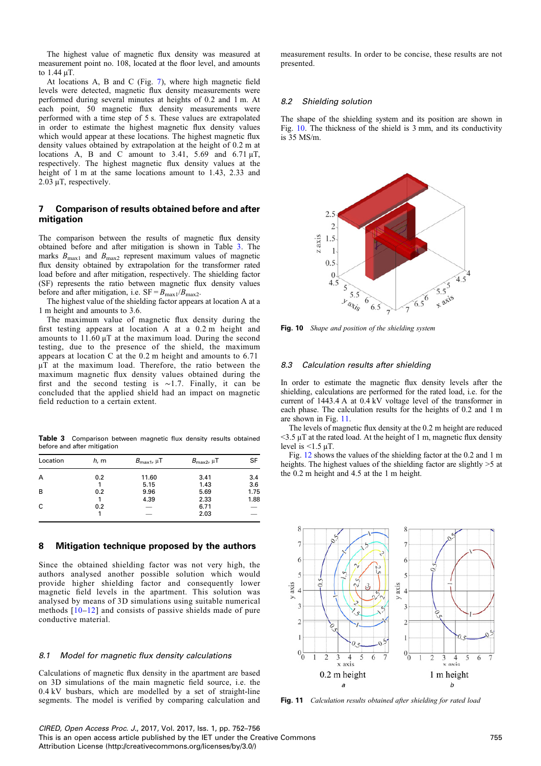The highest value of magnetic flux density was measured at measurement point no. 108, located at the floor level, and amounts to 1.44 µT.

At locations A, B and C (Fig. 7), where high magnetic field levels were detected, magnetic flux density measurements were performed during several minutes at heights of 0.2 and 1 m. At each point, 50 magnetic flux density measurements were performed with a time step of 5 s. These values are extrapolated in order to estimate the highest magnetic flux density values which would appear at these locations. The highest magnetic flux density values obtained by extrapolation at the height of 0.2 m at locations A, B and C amount to 3.41, 5.69 and 6.71  $\mu$ T, respectively. The highest magnetic flux density values at the height of 1 m at the same locations amount to 1.43, 2.33 and 2.03 µT, respectively.

#### 7 Comparison of results obtained before and after mitigation

The comparison between the results of magnetic flux density obtained before and after mitigation is shown in Table 3. The marks  $B_{\text{max1}}$  and  $B_{\text{max2}}$  represent maximum values of magnetic flux density obtained by extrapolation for the transformer rated load before and after mitigation, respectively. The shielding factor (SF) represents the ratio between magnetic flux density values before and after mitigation, i.e.  $SF = B_{\text{max1}}/B_{\text{max2}}$ .

The highest value of the shielding factor appears at location A at a 1 m height and amounts to 3.6.

The maximum value of magnetic flux density during the first testing appears at location A at a 0.2 m height and amounts to  $11.60 \mu$ T at the maximum load. During the second testing, due to the presence of the shield, the maximum appears at location C at the 0.2 m height and amounts to 6.71 uT at the maximum load. Therefore, the ratio between the maximum magnetic flux density values obtained during the first and the second testing is ∼1.7. Finally, it can be concluded that the applied shield had an impact on magnetic field reduction to a certain extent.

Table 3 Comparison between magnetic flux density results obtained before and after mitigation

| Location | h, m | $B_{\text{max1}}$ , $\mu$ T | $B_{\text{max2}}$ , $\mu$ T | SF                              |
|----------|------|-----------------------------|-----------------------------|---------------------------------|
| A        | 0.2  | 11.60                       | 3.41                        | 3.4                             |
|          |      | 5.15                        | 1.43                        | 3.6                             |
| B        | 0.2  | 9.96                        | 5.69                        | 1.75                            |
|          |      | 4.39                        | 2.33                        | 1.88                            |
| C        | 0.2  |                             | 6.71                        | $\hspace{0.1mm}-\hspace{0.1mm}$ |
|          |      |                             | 2.03                        |                                 |

#### 8 Mitigation technique proposed by the authors

Since the obtained shielding factor was not very high, the authors analysed another possible solution which would provide higher shielding factor and consequently lower magnetic field levels in the apartment. This solution was analysed by means of 3D simulations using suitable numerical methods [10–12] and consists of passive shields made of pure conductive material.

#### 8.1 Model for magnetic flux density calculations

Calculations of magnetic flux density in the apartment are based on 3D simulations of the main magnetic field source, i.e. the 0.4 kV busbars, which are modelled by a set of straight-line segments. The model is verified by comparing calculation and measurement results. In order to be concise, these results are not presented.

#### 8.2 Shielding solution

The shape of the shielding system and its position are shown in Fig. 10. The thickness of the shield is 3 mm, and its conductivity is 35 MS/m.



Fig. 10 Shape and position of the shielding system

#### 8.3 Calculation results after shielding

In order to estimate the magnetic flux density levels after the shielding, calculations are performed for the rated load, i.e. for the current of 1443.4 A at 0.4 kV voltage level of the transformer in each phase. The calculation results for the heights of 0.2 and 1 m are shown in Fig. 11.

The levels of magnetic flux density at the 0.2 m height are reduced  $<$ 3.5  $\mu$ T at the rated load. At the height of 1 m, magnetic flux density level is  $\leq 1.5$   $\mu$ T.

Fig. 12 shows the values of the shielding factor at the 0.2 and 1 m heights. The highest values of the shielding factor are slightly  $>5$  at the 0.2 m height and 4.5 at the 1 m height.



Fig. 11 Calculation results obtained after shielding for rated load